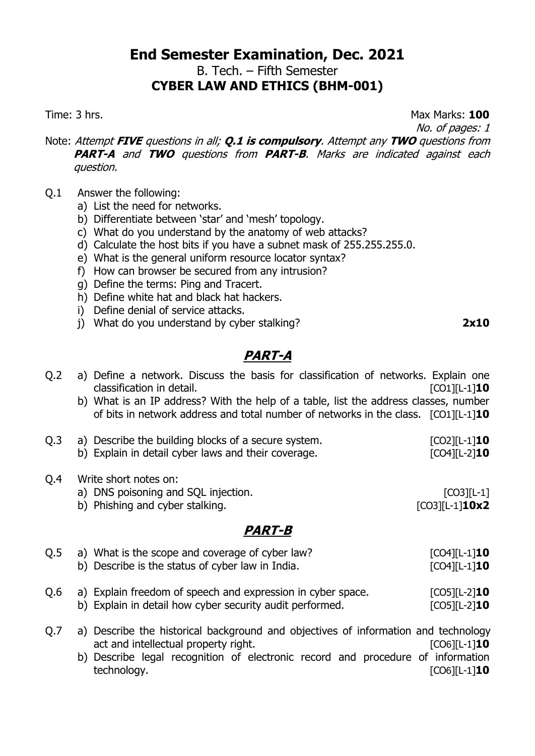# **End Semester Examination, Dec. 2021** B. Tech. – Fifth Semester

**CYBER LAW AND ETHICS (BHM-001)**

Time: 3 hrs. Max Marks: **100**

No. of pages: 1

Note: Attempt **FIVE** questions in all; **Q.1 is compulsory**. Attempt any **TWO** questions from **PART-A** and **TWO** questions from **PART-B**. Marks are indicated against each question.

- Q.1 Answer the following:
	- a) List the need for networks.
	- b) Differentiate between 'star' and 'mesh' topology.
	- c) What do you understand by the anatomy of web attacks?
	- d) Calculate the host bits if you have a subnet mask of 255.255.255.0.
	- e) What is the general uniform resource locator syntax?
	- f) How can browser be secured from any intrusion?
	- g) Define the terms: Ping and Tracert.
	- h) Define white hat and black hat hackers.
	- i) Define denial of service attacks.
	- j) What do you understand by cyber stalking? **2x10**

# **PART-A**

| Q <sub>2</sub> | a) Define a network. Discuss the basis for classification of networks. Explain one<br>classification in detail.                                                              | $[CO1][L-1]10$                           |
|----------------|------------------------------------------------------------------------------------------------------------------------------------------------------------------------------|------------------------------------------|
|                | b) What is an IP address? With the help of a table, list the address classes, number<br>of bits in network address and total number of networks in the class. $[CO1][L-1]10$ |                                          |
| Q.3            | a) Describe the building blocks of a secure system.<br>b) Explain in detail cyber laws and their coverage.                                                                   | $[CO2][L-1]$ <b>10</b><br>$[CO4][L-2]10$ |
| Q.4            | Write short notes on:<br>a) DNS poisoning and SQL injection.<br>b) Phishing and cyber stalking.                                                                              | $[CO3][L-1]$<br>$[CO3][L-1]10x2$         |
|                | <i>PART-B</i>                                                                                                                                                                |                                          |

| O.5 | a) What is the scope and coverage of cyber law?<br>b) Describe is the status of cyber law in India.                     | $[CO4][L-1]10$<br>$[CO4][L-1]10$                       |
|-----|-------------------------------------------------------------------------------------------------------------------------|--------------------------------------------------------|
| O.6 | a) Explain freedom of speech and expression in cyber space.<br>b) Explain in detail how cyber security audit performed. | $[CO5]$ $[L-2]$ <b>10</b><br>$[CO5]$ $[L-2]$ <b>10</b> |

Q.7 a) Describe the historical background and objectives of information and technology act and intellectual property right.  $[CO6][L-1]$ **10** b) Describe legal recognition of electronic record and procedure of information technology. [CO6][L-1]**10**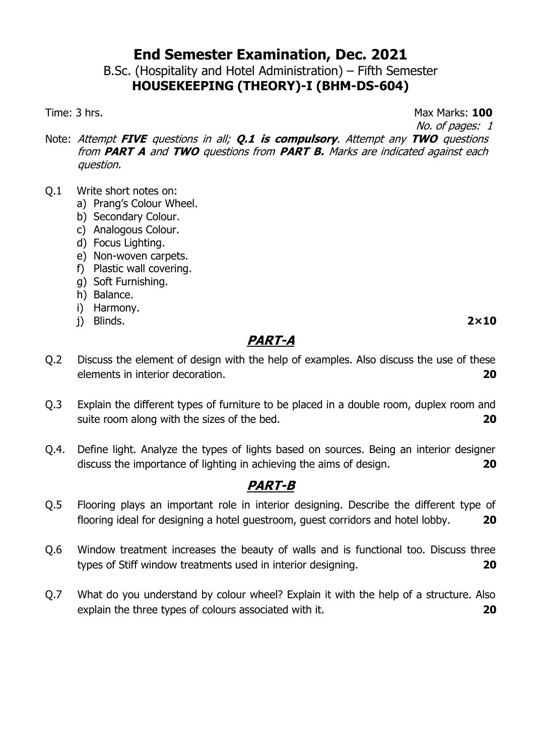B.Sc. (Hospitality and Hotel Administration) – Fifth Semester **HOUSEKEEPING (THEORY)-I (BHM-DS-604)**

Time: 3 hrs. **Max Marks: 100** 

No. of pages: 1

Note: Attempt **FIVE** questions in all; **Q.1 is compulsory**. Attempt any **TWO** questions from **PART A** and **TWO** questions from **PART B.** Marks are indicated against each question.

- Q.1 Write short notes on:
	- a) Prang's Colour Wheel.
	- b) Secondary Colour.
	- c) Analogous Colour.
	- d) Focus Lighting.
	- e) Non-woven carpets.
	- f) Plastic wall covering.
	- g) Soft Furnishing.
	- h) Balance.
	- i) Harmony.
	- j) Blinds. **2×10**

## **PART-A**

- Q.2 Discuss the element of design with the help of examples. Also discuss the use of these elements in interior decoration. **20**
- Q.3 Explain the different types of furniture to be placed in a double room, duplex room and suite room along with the sizes of the bed. **20**
- Q.4. Define light. Analyze the types of lights based on sources. Being an interior designer discuss the importance of lighting in achieving the aims of design. **20**

- Q.5 Flooring plays an important role in interior designing. Describe the different type of flooring ideal for designing a hotel guestroom, guest corridors and hotel lobby. **20**
- Q.6 Window treatment increases the beauty of walls and is functional too. Discuss three types of Stiff window treatments used in interior designing. **20**
- Q.7 What do you understand by colour wheel? Explain it with the help of a structure. Also explain the three types of colours associated with it. **20**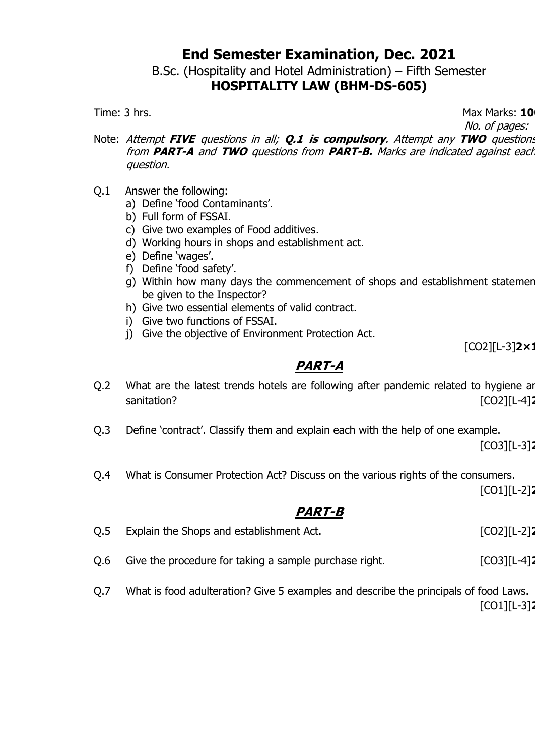B.Sc. (Hospitality and Hotel Administration) – Fifth Semester **HOSPITALITY LAW (BHM-DS-605)**

Time: 3 hrs. **10** and 100 and 100 and 100 and 100 and 100 and 100 and 100 and 100 and 100 and 100 and 100 and 100 and 100 and 100 and 100 and 100 and 100 and 100 and 100 and 100 and 100 and 100 and 100 and 100 and 100 and

No. of pages: 1

- Note: Attempt **FIVE** questions in all; **Q.1 is compulsory**. Attempt any **TWO** questions from **PART-A** and **TWO** questions from **PART-B.** Marks are indicated against each question.
- Q.1 Answer the following:
	- a) Define 'food Contaminants'.
	- b) Full form of FSSAI.
	- c) Give two examples of Food additives.
	- d) Working hours in shops and establishment act.
	- e) Define 'wages'.
	- f) Define 'food safety'.
	- g) Within how many days the commencement of shops and establishment statement be given to the Inspector?
	- h) Give two essential elements of valid contract.
	- i) Give two functions of FSSAI.
	- j) Give the objective of Environment Protection Act.

[CO2][L-3]2×1

## **PART-A**

- Q.2 What are the latest trends hotels are following after pandemic related to hygiene and sanitation? [CO2][L-4]
- Q.3 Define 'contract'. Classify them and explain each with the help of one example.

[CO3][L-3]**20**

Q.4 What is Consumer Protection Act? Discuss on the various rights of the consumers.

[CO1][L-2]**20**

## **PART-B**

| Q.5 | Explain the Shops and establishment Act.               | [CO2][L-2] <b>2</b> |
|-----|--------------------------------------------------------|---------------------|
| Q.6 | Give the procedure for taking a sample purchase right. | $[CO3][L-4]$        |

Q.7 What is food adulteration? Give 5 examples and describe the principals of food Laws. [CO1][L-3]**20**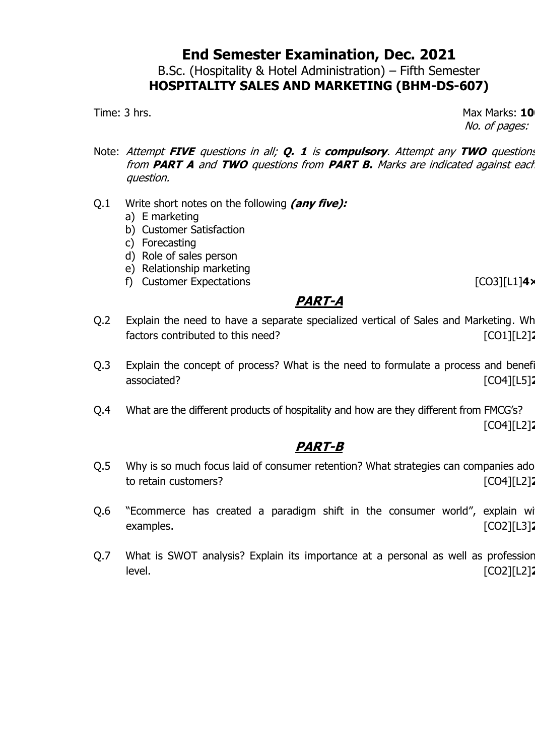B.Sc. (Hospitality & Hotel Administration) – Fifth Semester **HOSPITALITY SALES AND MARKETING (BHM-DS-607)**

Time: 3 hrs. **10** No. of pages: 1

- Note: Attempt **FIVE** questions in all; **Q. 1** is **compulsory**. Attempt any **TWO** questions from **PART A** and **TWO** questions from **PART B.** Marks are indicated against each question.
- Q.1 Write short notes on the following **(any five):**
	- a) E marketing
	- b) Customer Satisfaction
	- c) Forecasting
	- d) Role of sales person
	- e) Relationship marketing
	- f) Customer Expectations **contract in the CO3**][L1] **4**

## **PART-A**

- Q.2 Explain the need to have a separate specialized vertical of Sales and Marketing. Wh factors contributed to this need? [CO1][L2]
- Q.3 Explain the concept of process? What is the need to formulate a process and benef associated? [CO4][L5]
- Q.4 What are the different products of hospitality and how are they different from FMCG's? [CO4][L2]**20**

- Q.5 Why is so much focus laid of consumer retention? What strategies can companies ado to retain customers? [CO4][L2]
- Q.6 "Ecommerce has created a paradigm shift in the consumer world", explain with examples. [CO2][L3]
- Q.7 What is SWOT analysis? Explain its importance at a personal as well as profession level. [CO2][L2]**20**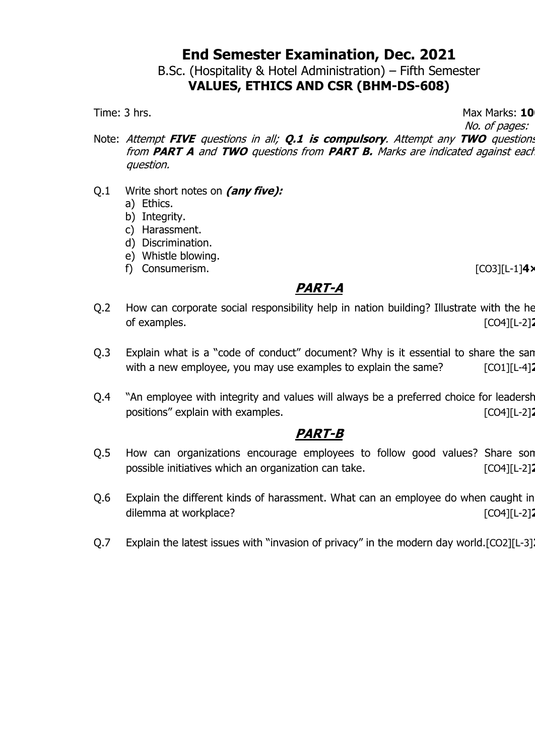B.Sc. (Hospitality & Hotel Administration) – Fifth Semester **VALUES, ETHICS AND CSR (BHM-DS-608)**

Time: 3 hrs. **10** 

No. of pages: 1

- Note: Attempt **FIVE** questions in all; **Q.1 is compulsory**. Attempt any **TWO** questions from **PART A** and **TWO** questions from **PART B.** Marks are indicated against each question.
- Q.1 Write short notes on **(any five):**
	- a) Ethics.
	- b) Integrity.
	- c) Harassment.
	- d) Discrimination.
	- e) Whistle blowing.
	- f) Consumerism. [CO3][L-1]**4×5**

#### **PART-A**

- Q.2 How can corporate social responsibility help in nation building? Illustrate with the he of examples. [CO4][L-2]**20**
- Q.3 Explain what is a "code of conduct" document? Why is it essential to share the san with a new employee, you may use examples to explain the same? [CO1][L-4]<sup>2</sup>
- Q.4 "An employee with integrity and values will always be a preferred choice for leadership positions" explain with examples. **Examples** and the state of  $[CO4][L-2]$

- Q.5 How can organizations encourage employees to follow good values? Share son possible initiatives which an organization can take. [CO4][L-2]<sup>2</sup>
- Q.6 Explain the different kinds of harassment. What can an employee do when caught in dilemma at workplace? **and in the contract of the contract of the contract of the contract of the contract of the contract of the contract of the contract of the contract of the contract of the contract of the contract of**
- Q.7 Explain the latest issues with "invasion of privacy" in the modern day world.[CO2][L-3]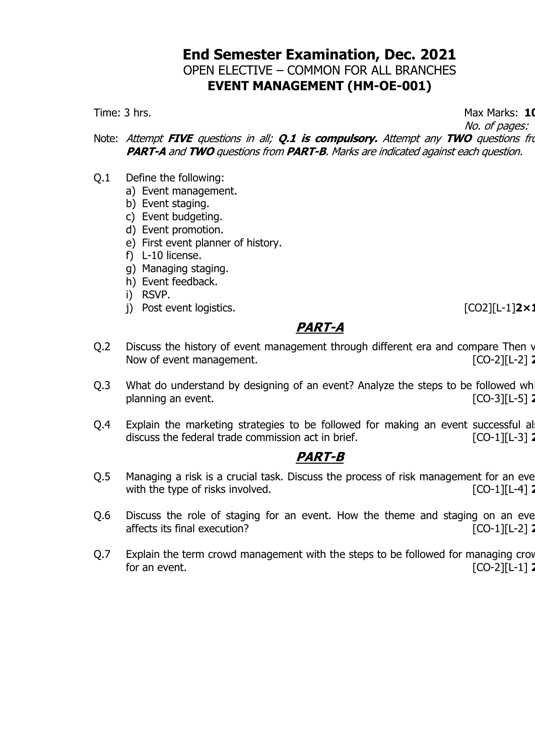## **End Semester Examination, Dec. 2021** OPEN ELECTIVE – COMMON FOR ALL BRANCHES **EVENT MANAGEMENT (HM-OE-001)**

Time: 3 hrs. **1000 and 1000 and 1000 and 1000 and 1000 and 1000 and 1000 and 1000 and 1000 and 1000 and 1000 and 1000 and 1000 and 1000 and 1000 and 1000 and 1000 and 1000 and 1000 and 1000 and 1000 and 1000 and 1000 and 1** 

No. of pages: 1

Note: Attempt **FIVE** questions in all; **Q.1 is compulsory.** Attempt any TWO questions from **PART-A** and **TWO** questions from **PART-B**. Marks are indicated against each question.

- Q.1 Define the following:
	- a) Event management.
	- b) Event staging.
	- c) Event budgeting.
	- d) Event promotion.
	- e) First event planner of history.
	- f) L-10 license.
	- g) Managing staging.
	- h) Event feedback.
	- i) RSVP.
	- j) Post event logistics. **a** control in the set of the set of the set of the set of the set of the set of the set of the set of the set of the set of the set of the set of the set of the set of the set of the set of the se

#### **PART-A**

- Q.2 Discuss the history of event management through different era and compare Then v Now of event management.
- Q.3 What do understand by designing of an event? Analyze the steps to be followed wh planning an event. [CO-3][L-5] **20**
- Q.4 Explain the marketing strategies to be followed for making an event successful al discuss the federal trade commission act in brief. **[CO-1][L-3] 2**

- Q.5 Managing a risk is a crucial task. Discuss the process of risk management for an eve with the type of risks involved.  $\begin{bmatrix} [CO-1][L-4] \end{bmatrix}$
- Q.6 Discuss the role of staging for an event. How the theme and staging on an eve affects its final execution? **a 1 2008 1 2008 1 2008 1 2008 1 1 2008 1 2008 1 2008 1 2008 1 2008 1 2008 1 2008 1 2008 1 2008 1 2008 1 2008 2008 1 2008 2**
- Q.7 Explain the term crowd management with the steps to be followed for managing crow for an event. [CO-2][L-1] **20**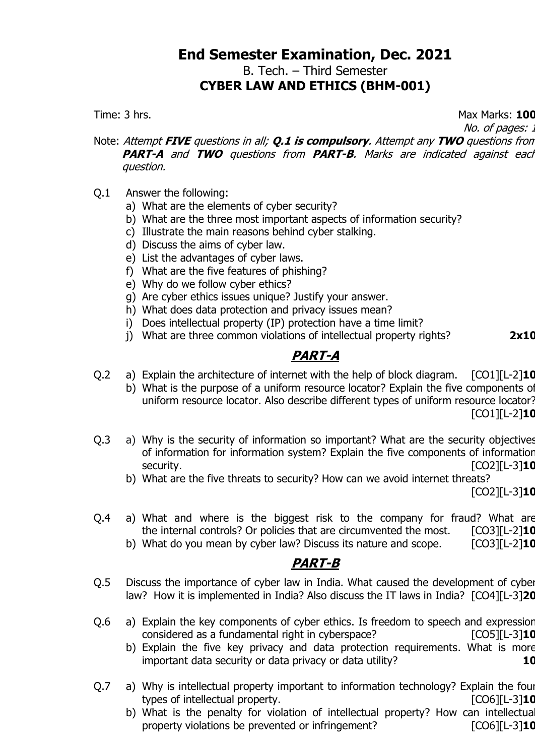#### **End Semester Examination, Dec. 2021** B. Tech. – Third Semester **CYBER LAW AND ETHICS (BHM-001)**

Time: 3 hrs. Max Marks: **100**

No. of pages: .

Note: Attempt **FIVE** questions in all; **Q.1 is compulsory**. Attempt any **TWO** questions from **PART-A** and **TWO** questions from **PART-B**. Marks are indicated against each question.

- Q.1 Answer the following:
	- a) What are the elements of cyber security?
	- b) What are the three most important aspects of information security?
	- c) Illustrate the main reasons behind cyber stalking.
	- d) Discuss the aims of cyber law.
	- e) List the advantages of cyber laws.
	- f) What are the five features of phishing?
	- e) Why do we follow cyber ethics?
	- g) Are cyber ethics issues unique? Justify your answer.
	- h) What does data protection and privacy issues mean?
	- i) Does intellectual property (IP) protection have a time limit?
	- j) What are three common violations of intellectual property rights? **2x10**

## **PART-A**

- Q.2 a) Explain the architecture of internet with the help of block diagram. [CO1][L-2]**10**
	- b) What is the purpose of a uniform resource locator? Explain the five components of uniform resource locator. Also describe different types of uniform resource locator? [CO1][L-2]**10**
- Q.3 a) Why is the security of information so important? What are the security objectives of information for information system? Explain the five components of information security. [CO2][L-3]**10**
	- b) What are the five threats to security? How can we avoid internet threats?

[CO2][L-3]**10**

- Q.4 a) What and where is the biggest risk to the company for fraud? What are the internal controls? Or policies that are circumvented the most. [CO3][L-2]**10**
	- b) What do you mean by cyber law? Discuss its nature and scope. [CO3][L-2]**10**

- Q.5 Discuss the importance of cyber law in India. What caused the development of cyber law? How it is implemented in India? Also discuss the IT laws in India? [CO4][L-3]**20**
- Q.6 a) Explain the key components of cyber ethics. Is freedom to speech and expression considered as a fundamental right in cyberspace? [CO5][L-3]**10**
	- b) Explain the five key privacy and data protection requirements. What is more important data security or data privacy or data utility? **10**
- Q.7 a) Why is intellectual property important to information technology? Explain the four types of intellectual property. [CO6][L-3]**10**
	- b) What is the penalty for violation of intellectual property? How can intellectua property violations be prevented or infringement? [CO6][L-3]**10**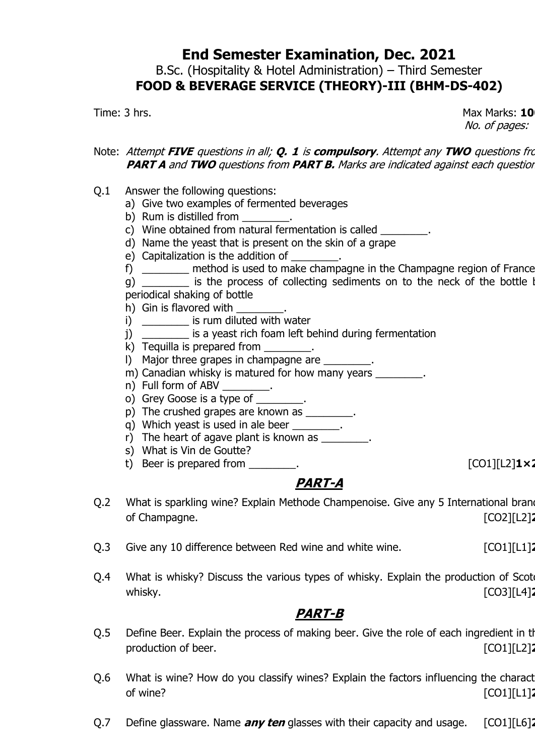B.Sc. (Hospitality & Hotel Administration) – Third Semester **FOOD & BEVERAGE SERVICE (THEORY)-III (BHM-DS-402)**

Time: 3 hrs. **10** No. of pages: 1

#### Note: Attempt **FIVE** questions in all; **Q. 1** is **compulsory**. Attempt any **TWO** questions from **PART A** and **TWO** questions from **PART B.** Marks are indicated against each question

- Q.1 Answer the following questions:
	- a) Give two examples of fermented beverages
	- b) Rum is distilled from \_\_\_\_\_
	- c) Wine obtained from natural fermentation is called \_\_\_\_\_\_\_\_.
	- d) Name the yeast that is present on the skin of a grape
	- e) Capitalization is the addition of
	- f) \_\_\_\_\_\_\_\_ method is used to make champagne in the Champagne region of France

g) \_\_\_\_\_\_\_ is the process of collecting sediments on to the neck of the bottle by periodical shaking of bottle

- h) Gin is flavored with
- i) \_\_\_\_\_\_\_\_\_ is rum diluted with water
- j) \_\_\_\_\_\_\_\_ is a yeast rich foam left behind during fermentation
- k) Tequilla is prepared from \_\_\_\_\_\_\_\_.
- I) Major three grapes in champagne are \_\_\_\_\_\_\_\_.
- m) Canadian whisky is matured for how many years \_\_\_\_\_\_\_\_.
- 
- n) Full form of ABV \_\_\_\_\_\_\_\_\_.<br>o) Grey Goose is a type of \_\_\_\_\_\_\_\_\_. o) Grey Goose is a type of
- p) The crushed grapes are known as \_\_\_\_\_\_\_\_.
- q) Which yeast is used in ale beer \_\_\_\_\_\_\_\_.
- r) The heart of agave plant is known as  $\blacksquare$ .
- s) What is Vin de Goutte?
- t) Beer is prepared from \_\_\_\_\_\_\_\_. [CO1][L2]**1×20**

## **PART-A**

- Q.2 What is sparkling wine? Explain Methode Champenoise. Give any 5 International brane of Champagne. **[CO2][L2]**
- Q.3 Give any 10 difference between Red wine and white wine. [CO1][L1]<sup>2</sup>
- Q.4 What is whisky? Discuss the various types of whisky. Explain the production of Scot whisky. [CO3][L4]

- Q.5 Define Beer. Explain the process of making beer. Give the role of each ingredient in the production of beer. **[CO1][L2]**
- Q.6 What is wine? How do you classify wines? Explain the factors influencing the charact of wine? [CO1][L1]**20**
- Q.7 Define glassware. Name **any ten** glasses with their capacity and usage. [CO1][L6]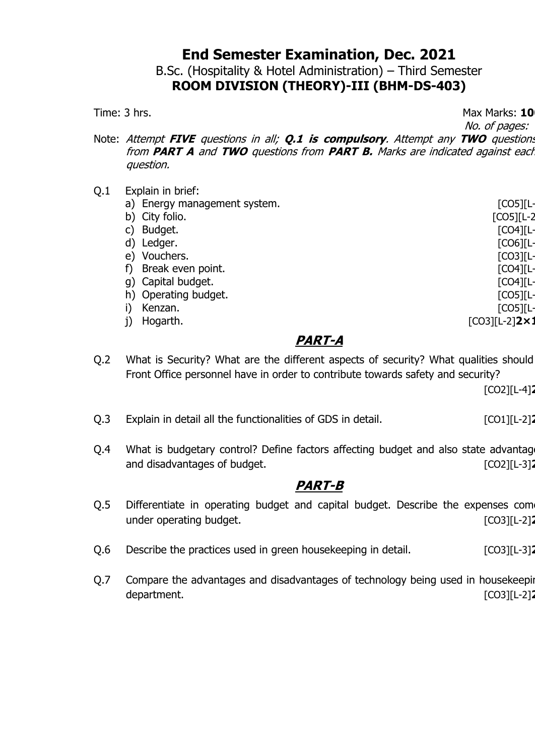B.Sc. (Hospitality & Hotel Administration) – Third Semester **ROOM DIVISION (THEORY)-III (BHM-DS-403)**

Time: 3 hrs. **10** No. of pages: 1

Note: Attempt **FIVE** questions in all; **Q.1 is compulsory**. Attempt any **TWO** questions from **PART A** and **TWO** questions from **PART B.** Marks are indicated against each question.

Q.1 Explain in brief: a) Energy management system. b) City folio. [CO5][L-2 c) Budget. [CO4][L-2] d) Ledger. [CO6][L-3] e) Vouchers. [CO3][L-3] f) Break even point. [CO4][L-2] g) Capital budget. [CO4][L-2] h) Operating budget. [CO5][L-2] i) Kenzan. [CO5][L-2] j) Hogarth. [CO3][L-2]**2×10**

#### **PART-A**

Q.2 What is Security? What are the different aspects of security? What qualities should Front Office personnel have in order to contribute towards safety and security?

[CO2][L-4]**20**

- Q.3 Explain in detail all the functionalities of GDS in detail. [CO1][L-2]<sup>2</sup>
- Q.4 What is budgetary control? Define factors affecting budget and also state advantages and disadvantages of budget. **Example 20** and disadvantages of budget.

- Q.5 Differentiate in operating budget and capital budget. Describe the expenses com under operating budget. **and a set of the set of the set of the set of the set of the set of the set of the set of the set of the set of the set of the set of the set of the set of the set of the set of the set of the set**
- Q.6 Describe the practices used in green housekeeping in detail. [CO3][L-3]<sup>2</sup>
- Q.7 Compare the advantages and disadvantages of technology being used in housekeeping department. [CO3][L-2]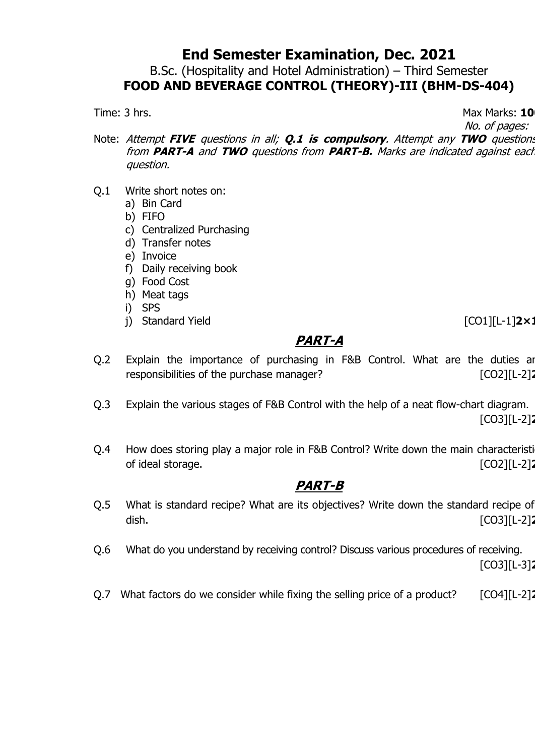B.Sc. (Hospitality and Hotel Administration) – Third Semester **FOOD AND BEVERAGE CONTROL (THEORY)-III (BHM-DS-404)**

Time: 3 hrs. **10** 

No. of pages: 1

Note: Attempt **FIVE** questions in all; **Q.1 is compulsory**. Attempt any **TWO** questions from **PART-A** and **TWO** questions from **PART-B.** Marks are indicated against each question.

- Q.1 Write short notes on:
	- a) Bin Card
	- b) FIFO
	- c) Centralized Purchasing
	- d) Transfer notes
	- e) Invoice
	- f) Daily receiving book
	- g) Food Cost
	- h) Meat tags
	- i) SPS
	- j) Standard Yield [CO1][L-1]**2×10**

#### **PART-A**

- Q.2 Explain the importance of purchasing in F&B Control. What are the duties and responsibilities of the purchase manager? [CO2][L-2]<sup>2</sup>
- Q.3 Explain the various stages of F&B Control with the help of a neat flow-chart diagram. [CO3][L-2]**20**
- Q.4 How does storing play a major role in F&B Control? Write down the main characteristic of ideal storage. [CO2][L-2]**20**

## **PART-B**

- Q.5 What is standard recipe? What are its objectives? Write down the standard recipe of dish. [CO3][L-2]**20**
- Q.6 What do you understand by receiving control? Discuss various procedures of receiving.

[CO3][L-3]**20**

Q.7 What factors do we consider while fixing the selling price of a product? [CO4][L-2]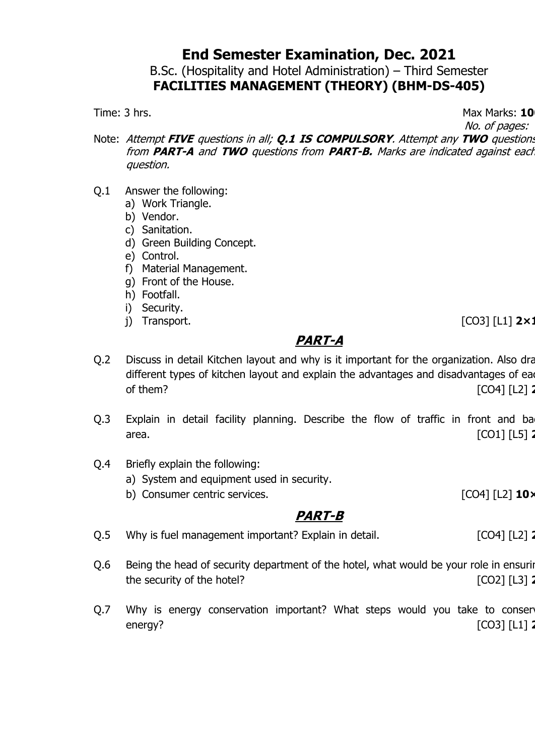B.Sc. (Hospitality and Hotel Administration) – Third Semester **FACILITIES MANAGEMENT (THEORY) (BHM-DS-405)**

Time: 3 hrs. **10** 

No. of pages: 1

- Note: Attempt **FIVE** questions in all; **Q.1 IS COMPULSORY**. Attempt any **TWO** questions from **PART-A** and **TWO** questions from **PART-B.** Marks are indicated against each question.
- Q.1 Answer the following:
	- a) Work Triangle.
	- b) Vendor.
	- c) Sanitation.
	- d) Green Building Concept.
	- e) Control.
	- f) Material Management.
	- g) Front of the House.
	- h) Footfall.
	- i) Security.
	-

j) Transport. [CO3] [L1] **2×10**

#### **PART-A**

- Q.2 Discuss in detail Kitchen layout and why is it important for the organization. Also draw different types of kitchen layout and explain the advantages and disadvantages of ea of them? [CO4] [L2] **20**
- Q.3 Explain in detail facility planning. Describe the flow of traffic in front and ba area. [CO1] [L5] **2**
- Q.4 Briefly explain the following:
	- a) System and equipment used in security.
	- b) Consumer centric services. **[CO4]** [L2] **10**×

- Q.5 Why is fuel management important? Explain in detail. [CO4] [L2] 2004] [L2] 2
- Q.6 Being the head of security department of the hotel, what would be your role in ensuring the security of the hotel? **and the security of the hotel? 2002 2008 2008 2008 2008 2008 2008 2008 2008 2008 2008 2008 2008 2008 2008 2008 2008 2008 2008 2008 2008 2008 2008**
- Q.7 Why is energy conservation important? What steps would you take to conser energy? [CO3] [L1] **2**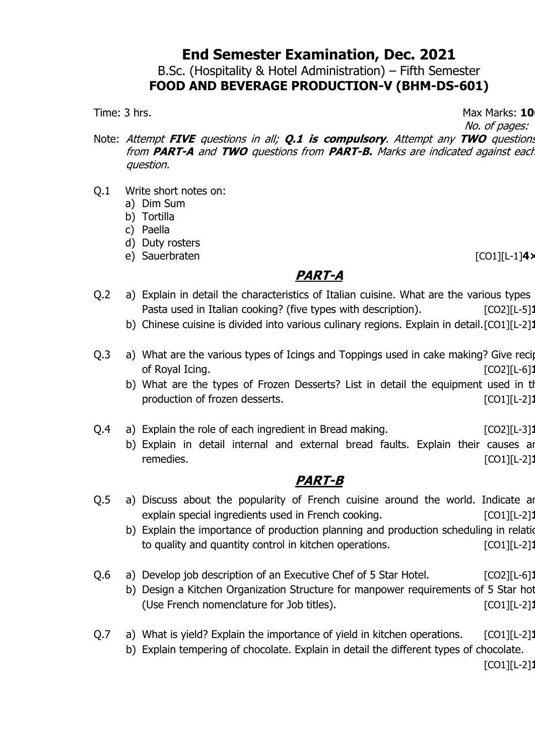B.Sc. (Hospitality & Hotel Administration) – Fifth Semester **FOOD AND BEVERAGE PRODUCTION-V (BHM-DS-601)**

Time: 3 hrs. **10** No. of pages: 1

Note: Attempt **FIVE** questions in all; **Q.1 is compulsory**. Attempt any **TWO** questions from **PART-A** and **TWO** questions from **PART-B.** Marks are indicated against each question.

- Q.1 Write short notes on:
	- a) Dim Sum
	- b) Tortilla
	- c) Paella
	- d) Duty rosters
	- e) Sauerbraten [CO1][L-1]**4×5**

## **PART-A**

- Q.2 a) Explain in detail the characteristics of Italian cuisine. What are the various types Pasta used in Italian cooking? (five types with description). [CO2][L-5]
	- b) Chinese cuisine is divided into various culinary regions. Explain in detail.[CO1][L-2]:
- Q.3 a) What are the various types of Icings and Toppings used in cake making? Give recip of Royal Icing. [CO2][L-6]**10**
	- b) What are the types of Frozen Desserts? List in detail the equipment used in the production of frozen desserts. *CO1* [CO1][L-2]
- Q.4 a) Explain the role of each ingredient in Bread making. [CO2][L-3]
	- b) Explain in detail internal and external bread faults. Explain their causes and remedies. [CO1][L-2]

## **PART-B**

- Q.5 a) Discuss about the popularity of French cuisine around the world. Indicate and explain special ingredients used in French cooking. **[CO1]**[L-2]
	- b) Explain the importance of production planning and production scheduling in relation to quality and quantity control in kitchen operations. [CO1][L-2]<sup>1</sup>]
- Q.6 a) Develop job description of an Executive Chef of 5 Star Hotel. [CO2][L-6]
	- b) Design a Kitchen Organization Structure for manpower requirements of 5 Star hot (Use French nomenclature for Job titles). [CO1][L-2]<sup>1</sup>]
- Q.7 a) What is yield? Explain the importance of yield in kitchen operations. [CO1][L-2] b) Explain tempering of chocolate. Explain in detail the different types of chocolate.

[CO1][L-2]**10**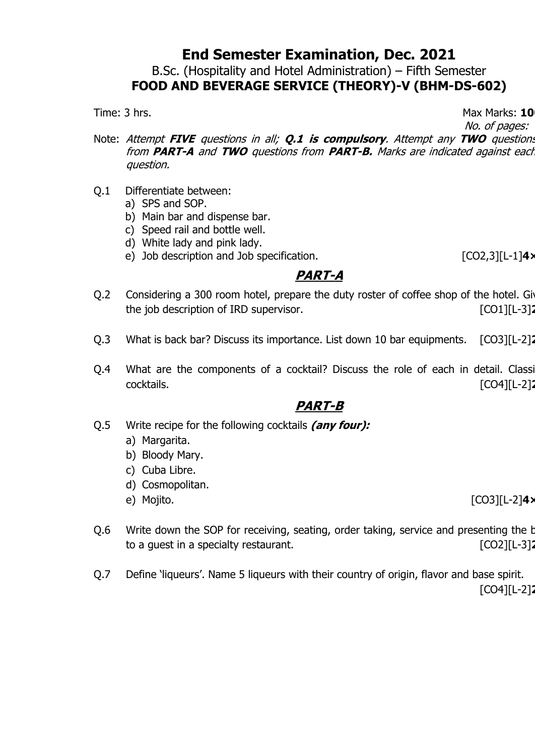B.Sc. (Hospitality and Hotel Administration) – Fifth Semester **FOOD AND BEVERAGE SERVICE (THEORY)-V (BHM-DS-602)**

Time: 3 hrs. **10** 

No. of pages: 1

- Note: Attempt **FIVE** questions in all; **Q.1 is compulsory**. Attempt any **TWO** questions from **PART-A** and **TWO** questions from **PART-B.** Marks are indicated against each question.
- Q.1 Differentiate between:
	- a) SPS and SOP.
	- b) Main bar and dispense bar.
	- c) Speed rail and bottle well.
	- d) White lady and pink lady.
	- e) Job description and Job specification. [CO2,3][L-1]**4×5**

## **PART-A**

- Q.2 Considering a 300 room hotel, prepare the duty roster of coffee shop of the hotel. Given the job description of IRD supervisor. **Example 2014** [CO1][L-3]<sup>2</sup>
- Q.3 What is back bar? Discuss its importance. List down 10 bar equipments. [CO3][L-2]
- Q.4 What are the components of a cocktail? Discuss the role of each in detail. Classi cocktails. [CO4][L-2]**20**

- Q.5 Write recipe for the following cocktails **(any four):**
	- a) Margarita.
	- b) Bloody Mary.
	- c) Cuba Libre.
	- d) Cosmopolitan.
	-
	- e) Mojito. [CO3][L-2]**4×5**
- Q.6 Write down the SOP for receiving, seating, order taking, service and presenting the b to a guest in a specialty restaurant. [CO2][L-3]**20**
- Q.7 Define 'liqueurs'. Name 5 liqueurs with their country of origin, flavor and base spirit. [CO4][L-2]**20**